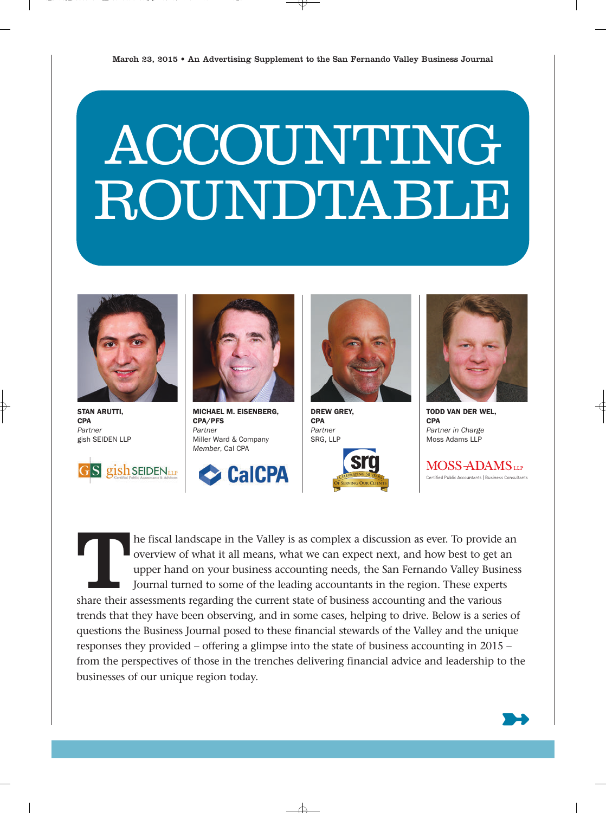

STAN ARUTTI, **CPA** Partner gish SEIDEN LLP





MICHAEL M. EISENBERG, CPA/PFS Partner Miller Ward & Company Member, Cal CPA





DREW GREY, **CPA** Partner SRG, LLP





TODD VAN DER WEL, **CPA** Partner in Charge Moss Adams LLP

MOSS-ADAMS Certified Public Accountants | Business Consultants

The fiscal landscape in the Valley is as complex a discussion as ever. To provide an overview of what it all means, what we can expect next, and how best to get an upper hand on your business accounting needs, the San Fern overview of what it all means, what we can expect next, and how best to get an upper hand on your business accounting needs, the San Fernando Valley Business Journal turned to some of the leading accountants in the region. These experts

trends that they have been observing, and in some cases, helping to drive. Below is a series of questions the Business Journal posed to these financial stewards of the Valley and the unique responses they provided – offering a glimpse into the state of business accounting in 2015 – from the perspectives of those in the trenches delivering financial advice and leadership to the businesses of our unique region today.

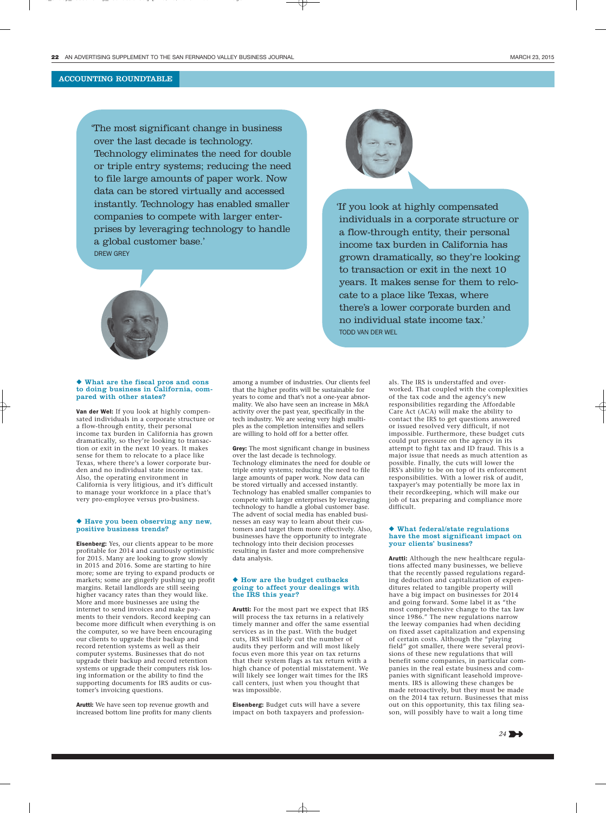'The most significant change in business over the last decade is technology. Technology eliminates the need for double or triple entry systems; reducing the need to file large amounts of paper work. Now data can be stored virtually and accessed instantly. Technology has enabled smaller companies to compete with larger enterprises by leveraging technology to handle a global customer base.' DREW GREY



#### ◆ What are the fiscal pros and cons to doing business in California, compared with other states?

Van der Wel: If you look at highly compensated individuals in a corporate structure or a flow-through entity, their personal income tax burden in California has grown dramatically, so they're looking to transaction or exit in the next 10 years. It makes sense for them to relocate to a place like Texas, where there's a lower corporate burden and no individual state income tax. Also, the operating environment in California is very litigious, and it's difficult to manage your workforce in a place that's very pro-employee versus pro-business.

#### ◆ Have you been observing any new, positive business trends?

Eisenberg: Yes, our clients appear to be more profitable for 2014 and cautiously optimistic for 2015. Many are looking to grow slowly in 2015 and 2016. Some are starting to hire more; some are trying to expand products or markets; some are gingerly pushing up profit margins. Retail landlords are still seeing higher vacancy rates than they would like. More and more businesses are using the internet to send invoices and make payments to their vendors. Record keeping can become more difficult when everything is on the computer, so we have been encouraging our clients to upgrade their backup and record retention systems as well as their computer systems. Businesses that do not upgrade their backup and record retention systems or upgrade their computers risk losing information or the ability to find the supporting documents for IRS audits or customer's invoicing questions.

Arutti: We have seen top revenue growth and increased bottom line profits for many clients



Grey: The most significant change in business over the last decade is technology. Technology eliminates the need for double or triple entry systems; reducing the need to file large amounts of paper work. Now data can be stored virtually and accessed instantly. Technology has enabled smaller companies to compete with larger enterprises by leveraging technology to handle a global customer base. The advent of social media has enabled businesses an easy way to learn about their customers and target them more effectively. Also, businesses have the opportunity to integrate technology into their decision processes resulting in faster and more comprehensive data analysis.

#### ◆ How are the budget cutbacks going to affect your dealings with the IRS this year?

Arutti: For the most part we expect that IRS will process the tax returns in a relatively timely manner and offer the same essential services as in the past. With the budget cuts, IRS will likely cut the number of audits they perform and will most likely focus even more this year on tax returns that their system flags as tax return with a high chance of potential misstatement. We will likely see longer wait times for the IRS call centers, just when you thought that was impossible.

Eisenberg: Budget cuts will have a severe impact on both taxpayers and profession-



'If you look at highly compensated individuals in a corporate structure or a flow-through entity, their personal income tax burden in California has grown dramatically, so they're looking to transaction or exit in the next 10 years. It makes sense for them to relocate to a place like Texas, where there's a lower corporate burden and no individual state income tax.' TODD VAN DER WEL

> als. The IRS is understaffed and overworked. That coupled with the complexities of the tax code and the agency's new responsibilities regarding the Affordable Care Act (ACA) will make the ability to contact the IRS to get questions answered or issued resolved very difficult, if not impossible. Furthermore, these budget cuts could put pressure on the agency in its attempt to fight tax and ID fraud. This is a major issue that needs as much attention as possible. Finally, the cuts will lower the IRS's ability to be on top of its enforcement responsibilities. With a lower risk of audit, taxpayer's may potentially be more lax in their recordkeeping, which will make our job of tax preparing and compliance more difficult.

#### ◆ What federal/state regulations have the most significant impact on your clients' business?

Arutti: Although the new healthcare regulations affected many businesses, we believe that the recently passed regulations regarding deduction and capitalization of expenditures related to tangible property will have a big impact on businesses for 2014 and going forward. Some label it as "the most comprehensive change to the tax law since 1986." The new regulations narrow the leeway companies had when deciding on fixed asset capitalization and expensing of certain costs. Although the "playing field" got smaller, there were several provisions of these new regulations that will benefit some companies, in particular companies in the real estate business and companies with significant leasehold improvements. IRS is allowing these changes be made retroactively, but they must be made on the 2014 tax return. Businesses that miss out on this opportunity, this tax filing season, will possibly have to wait a long time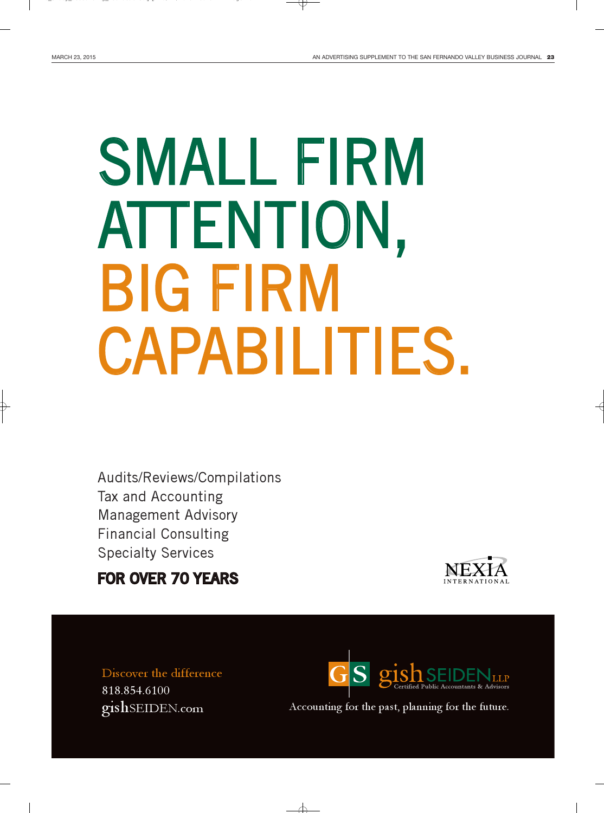# SMALL FIRM ATTENTION, BIG FIRM CAPABILITIES.

Audits/Reviews/Compilations Tax and Accounting Management Advisory Financial Consulting Specialty Services

### FOR OVER 70 YEARS



Discover the difference 818.854.6100 gishSEIDEN.com



Accounting for the past, planning for the future.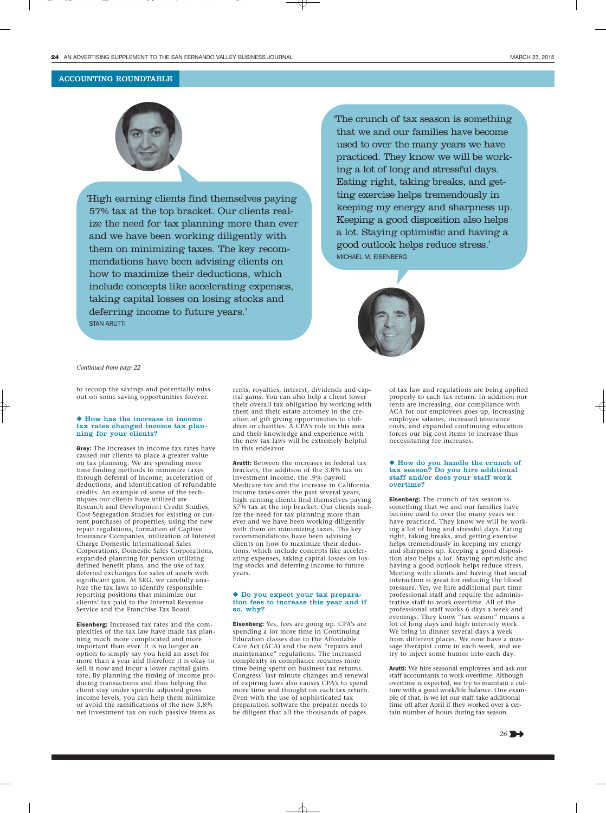

'High earning clients find themselves paying 57% tax at the top bracket. Our clients realize the need for tax planning more than ever and we have been working diligently with them on minimizing taxes. The key recommendations have been advising clients on how to maximize their deductions, which include concepts like accelerating expenses, taking capital losses on losing stocks and deferring income to future years.' STAN ARUTTI

'The crunch of tax season is something that we and our families have become used to over the many years we have practiced. They know we will be working a lot of long and stressful days. Eating right, taking breaks, and getting exercise helps tremendously in keeping my energy and sharpness up. Keeping a good disposition also helps a lot. Staying optimistic and having a good outlook helps reduce stress.' MICHAEL M. EISENBERG



#### *Continued from page 22*

to recoup the savings and potentially miss out on some saving opportunities forever.

#### ◆ How has the increase in income tax rates changed income tax planning for your clients?

Grey: The increases in income tax rates have caused our clients to place a greater value on tax planning. We are spending more time finding methods to minimize taxes through deferral of income, acceleration of deductions, and identification of refundable credits. An example of some of the techniques our clients have utilized are Research and Development Credit Studies, Cost Segregation Studies for existing or current purchases of properties, using the new repair regulations, formation of Captive Insurance Companies, utilization of Interest Charge Domestic International Sales Corporations, Domestic Sales Corporations, expanded planning for pension utilizing defined benefit plans, and the use of tax deferred exchanges for sales of assets with significant gain. At SRG, we carefully analyze the tax laws to identify responsible reporting positions that minimize our clients' tax paid to the Internal Revenue Service and the Franchise Tax Board.

Eisenberg: Increased tax rates and the complexities of the tax law have made tax planning much more complicated and more important than ever. It is no longer an option to simply say you held an asset for more than a year and therefore it is okay to sell it now and incur a lower capital gains rate. By planning the timing of income producing transactions and thus helping the client stay under specific adjusted gross income levels, you can help them minimize or avoid the ramifications of the new 3.8% net investment tax on such passive items as rents, royalties, interest, dividends and capital gains. You can also help a client lower their overall tax obligation by working with them and their estate attorney in the creation of gift giving opportunities to children or charities. A CPA's role in this area and their knowledge and experience with the new tax laws will be extremely helpful in this endeavor.

Arutti: Between the increases in federal tax brackets, the addition of the 3.8% tax on investment income, the .9% payroll Medicare tax and the increase in California income taxes over the past several years, high earning clients find themselves paying 57% tax at the top bracket. Our clients realize the need for tax planning more than ever and we have been working diligently with them on minimizing taxes. The key recommendations have been advising clients on how to maximize their deductions, which include concepts like accelerating expenses, taking capital losses on losing stocks and deferring income to future years.

#### ◆ Do you expect your tax preparation fees to increase this year and if so, why?

Eisenberg: Yes, fees are going up. CPA's are spending a lot more time in Continuing Education classes due to the Affordable Care Act (ACA) and the new "repairs and maintenance" regulations. The increased complexity in compliance requires more time being spent on business tax returns. Congress' last minute changes and renewal of expiring laws also causes CPA's to spend more time and thought on each tax return. Even with the use of sophisticated tax preparation software the preparer needs to be diligent that all the thousands of pages

of tax law and regulations are being applied properly to each tax return. In addition our rents are increasing, our compliance with ACA for our employees goes up, increasing employee salaries, increased insurance costs, and expanded continuing education forces our big cost items to increase thus necessitating fee increases.

#### ◆ How do you handle the crunch of tax season? Do you hire additional staff and/or does your staff work overtime?

Eisenberg: The crunch of tax season is something that we and our families have become used to over the many years we have practiced. They know we will be working a lot of long and stressful days. Eating right, taking breaks, and getting exercise helps tremendously in keeping my energy and sharpness up. Keeping a good disposition also helps a lot. Staying optimistic and having a good outlook helps reduce stress. Meeting with clients and having that social interaction is great for reducing the blood pressure. Yes, we hire additional part time professional staff and require the administrative staff to work overtime. All of the professional staff works 6 days a week and evenings. They know "tax season" means a lot of long days and high intensity work. We bring in dinner several days a week from different places. We now have a massage therapist come in each week, and we try to inject some humor into each day.

Arutti: We hire seasonal employees and ask our staff accountants to work overtime. Although overtime is expected, we try to maintain a culture with a good work/life balance. One example of that, is we let our staff take additional time off after April if they worked over a certain number of hours during tax season.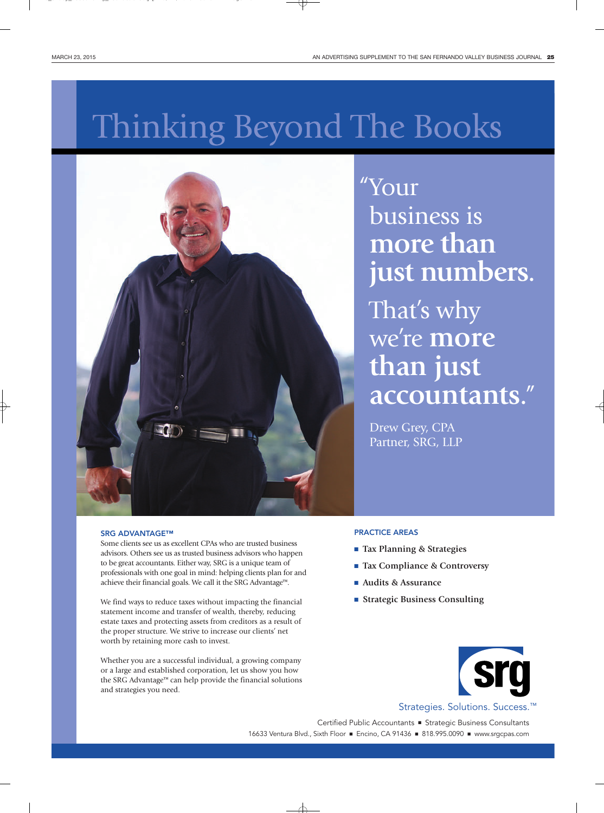## Thinking Beyond The Books



"Your business is **more than just numbers.**

That's why we're **more than just accountants.** "

Drew Grey, CPA Partner, SRG, LLP

#### SRG ADVANTAGE™

Some clients see us as excellent CPAs who are trusted business advisors. Others see us as trusted business advisors who happen to be great accountants. Either way, SRG is a unique team of professionals with one goal in mind: helping clients plan for and achieve their financial goals. We call it the SRG Advantage™.

We find ways to reduce taxes without impacting the financial statement income and transfer of wealth, thereby, reducing estate taxes and protecting assets from creditors as a result of the proper structure. We strive to increase our clients' net worth by retaining more cash to invest.

Whether you are a successful individual, a growing company or a large and established corporation, let us show you how the SRG Advantage™ can help provide the financial solutions and strategies you need.

#### PRACTICE AREAS

- **Tax Planning & Strategies**
- **Tax Compliance & Controversy**
- **Audits & Assurance**
- **Strategic Business Consulting**

![](_page_4_Picture_16.jpeg)

Strategies. Solutions. Success.™

Certified Public Accountants ■ Strategic Business Consultants 16633 Ventura Blvd., Sixth Floor ■ Encino, CA 91436 ■ 818.995.0090 ■ www.srgcpas.com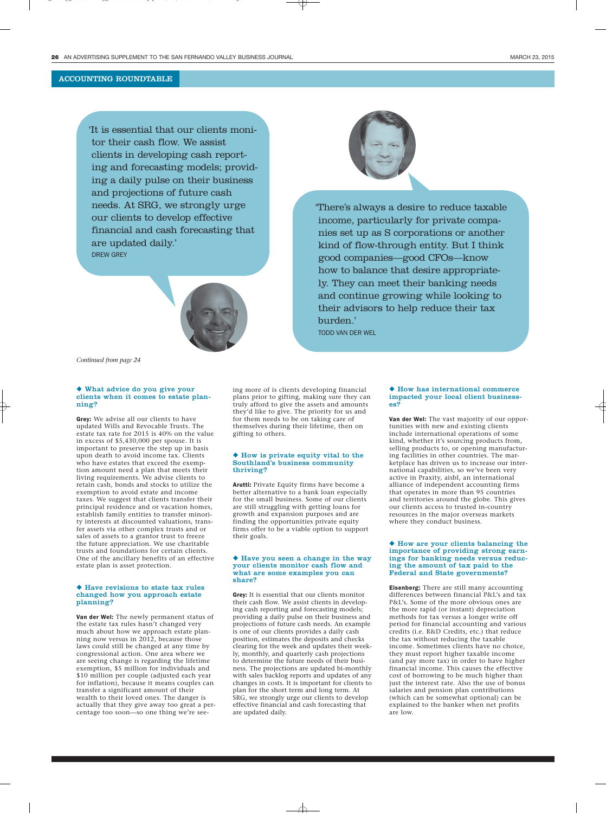'It is essential that our clients monitor their cash flow. We assist clients in developing cash reporting and forecasting models; providing a daily pulse on their business and projections of future cash needs. At SRG, we strongly urge our clients to develop effective financial and cash forecasting that are updated daily.' DREW GREY

![](_page_5_Picture_4.jpeg)

'There's always a desire to reduce taxable income, particularly for private companies set up as S corporations or another kind of flow-through entity. But I think good companies—good CFOs—know how to balance that desire appropriately. They can meet their banking needs and continue growing while looking to their advisors to help reduce their tax burden.' TODD VAN DER WEL

*Continued from page 24*

#### ◆ What advice do you give your clients when it comes to estate planning?

Grey: We advise all our clients to have updated Wills and Revocable Trusts. The estate tax rate for 2015 is 40% on the value in excess of \$5,430,000 per spouse. It is important to preserve the step up in basis upon death to avoid income tax. Clients who have estates that exceed the exemption amount need a plan that meets their living requirements. We advise clients to retain cash, bonds and stocks to utilize the exemption to avoid estate and income taxes. We suggest that clients transfer their principal residence and or vacation homes, establish family entities to transfer minority interests at discounted valuations, transfer assets via other complex trusts and or sales of assets to a grantor trust to freeze the future appreciation. We use charitable trusts and foundations for certain clients. One of the ancillary benefits of an effective estate plan is asset protection.

#### ◆ Have revisions to state tax rules changed how you approach estate planning?

Van der Wel: The newly permanent status of the estate tax rules hasn't changed very much about how we approach estate planning now versus in 2012, because those laws could still be changed at any time by congressional action. One area where we are seeing change is regarding the lifetime exemption, \$5 million for individuals and \$10 million per couple (adjusted each year for inflation), because it means couples can transfer a significant amount of their wealth to their loved ones. The danger is actually that they give away too great a percentage too soon—so one thing we're seeing more of is clients developing financial plans prior to gifting, making sure they can truly afford to give the assets and amounts they'd like to give. The priority for us and for them needs to be on taking care of themselves during their lifetime, then on gifting to others.

#### ◆ How is private equity vital to the Southland's business community thriving?

Arutti: Private Equity firms have become a better alternative to a bank loan especially for the small business. Some of our clients are still struggling with getting loans for growth and expansion purposes and are finding the opportunities private equity firms offer to be a viable option to support their goals.

#### ◆ Have you seen a change in the way your clients monitor cash flow and what are some examples you can share?

Grey: It is essential that our clients monitor their cash flow. We assist clients in developing cash reporting and forecasting models; providing a daily pulse on their business and projections of future cash needs. An example is one of our clients provides a daily cash position, estimates the deposits and checks clearing for the week and updates their weekly, monthly, and quarterly cash projections to determine the future needs of their business. The projections are updated bi-monthly with sales backlog reports and updates of any changes in costs. It is important for clients to plan for the short term and long term. At SRG, we strongly urge our clients to develop effective financial and cash forecasting that are updated daily.

#### ◆ How has international commerce impacted your local client businesses?

Van der Wel: The vast majority of our opportunities with new and existing clients include international operations of some kind, whether it's sourcing products from, selling products to, or opening manufacturing facilities in other countries. The marketplace has driven us to increase our international capabilities, so we've been very active in Praxity, aisbl, an international alliance of independent accounting firms that operates in more than 95 countries and territories around the globe. This gives our clients access to trusted in-country resources in the major overseas markets where they conduct business.

#### ◆ How are your clients balancing the importance of providing strong earnings for banking needs versus reducing the amount of tax paid to the Federal and State governments?

Eisenberg: There are still many accounting differences between financial P&L's and tax P&L's. Some of the more obvious ones are the more rapid (or instant) depreciation methods for tax versus a longer write off period for financial accounting and various credits (i.e. R&D Credits, etc.) that reduce the tax without reducing the taxable income. Sometimes clients have no choice, they must report higher taxable income (and pay more tax) in order to have higher financial income. This causes the effective cost of borrowing to be much higher than just the interest rate. Also the use of bonus salaries and pension plan contributions (which can be somewhat optional) can be explained to the banker when net profits are low.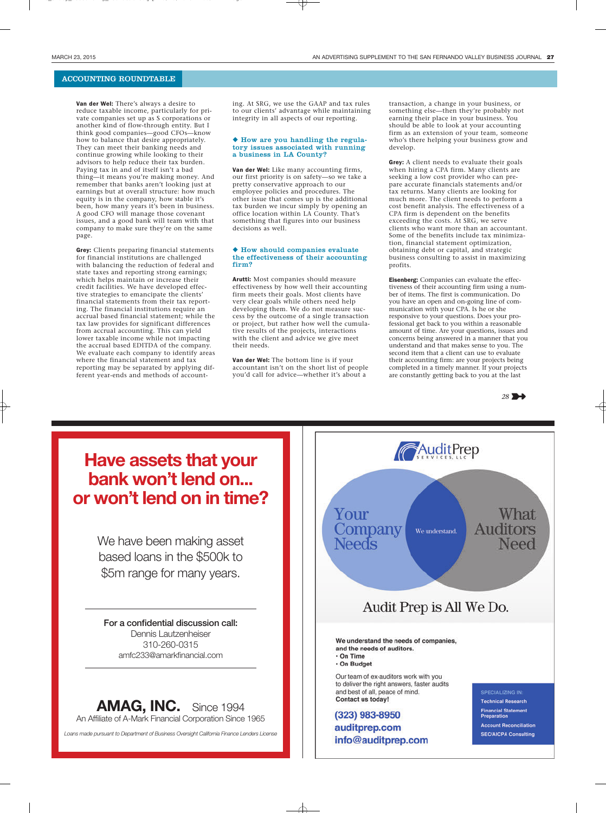Van der Wel: There's always a desire to reduce taxable income, particularly for private companies set up as S corporations or another kind of flow-through entity. But I think good companies—good CFOs—know how to balance that desire appropriately. They can meet their banking needs and continue growing while looking to their advisors to help reduce their tax burden. Paying tax in and of itself isn't a bad thing—it means you're making money. And remember that banks aren't looking just at earnings but at overall structure: how much equity is in the company, how stable it's been, how many years it's been in business. A good CFO will manage those covenant issues, and a good bank will team with that company to make sure they're on the same page.

Grey: Clients preparing financial statements for financial institutions are challenged with balancing the reduction of federal and state taxes and reporting strong earnings; which helps maintain or increase their credit facilities. We have developed effective strategies to emancipate the clients' financial statements from their tax reporting. The financial institutions require an accrual based financial statement; while the tax law provides for significant differences from accrual accounting. This can yield lower taxable income while not impacting the accrual based EDITDA of the company. We evaluate each company to identify areas where the financial statement and tax reporting may be separated by applying different year-ends and methods of accounting. At SRG, we use the GAAP and tax rules to our clients' advantage while maintaining integrity in all aspects of our reporting.

#### ◆ How are you handling the regulatory issues associated with running a business in LA County?

Van der Wel: Like many accounting firms, our first priority is on safety—so we take a pretty conservative approach to our employee policies and procedures. The other issue that comes up is the additional tax burden we incur simply by opening an office location within LA County. That's something that figures into our business decisions as well.

#### ◆ How should companies evaluate the effectiveness of their accounting firm?

Arutti: Most companies should measure effectiveness by how well their accounting firm meets their goals. Most clients have very clear goals while others need help developing them. We do not measure success by the outcome of a single transaction or project, but rather how well the cumulative results of the projects, interactions with the client and advice we give meet their needs.

Van der Wel: The bottom line is if your accountant isn't on the short list of people you'd call for advice—whether it's about a

transaction, a change in your business, or something else—then they're probably not earning their place in your business. You should be able to look at your accounting firm as an extension of your team, someone who's there helping your business grow and develop.

Grey: A client needs to evaluate their goals when hiring a CPA firm. Many clients are seeking a low cost provider who can prepare accurate financials statements and/or tax returns. Many clients are looking for much more. The client needs to perform a cost benefit analysis. The effectiveness of a CPA firm is dependent on the benefits exceeding the costs. At SRG, we serve clients who want more than an accountant. Some of the benefits include tax minimization, financial statement optimization, obtaining debt or capital, and strategic business consulting to assist in maximizing profits.

Eisenberg: Companies can evaluate the effectiveness of their accounting firm using a number of items. The first is communication. Do you have an open and on-going line of communication with your CPA. Is he or she responsive to your questions. Does your professional get back to you within a reasonable amount of time. Are your questions, issues and concerns being answered in a manner that you understand and that makes sense to you. The second item that a client can use to evaluate their accounting firm: are your projects being completed in a timely manner. If your projects are constantly getting back to you at the last

![](_page_6_Picture_14.jpeg)

### **Have assets that your bank won't lend on... or won't lend on in time?**

We have been making asset based loans in the \$500k to \$5m range for many years.

**For a confidential discussion call:** Dennis Lautzenheiser 310-260-0315 amfc233@amarkfinancial.com

**AMAG, INC.** Since 1994 An Affiliate of A-Mark Financial Corporation Since 1965

*Loans made pursuant to Department of Business Oversight California Finance Lenders License*

![](_page_6_Figure_20.jpeg)